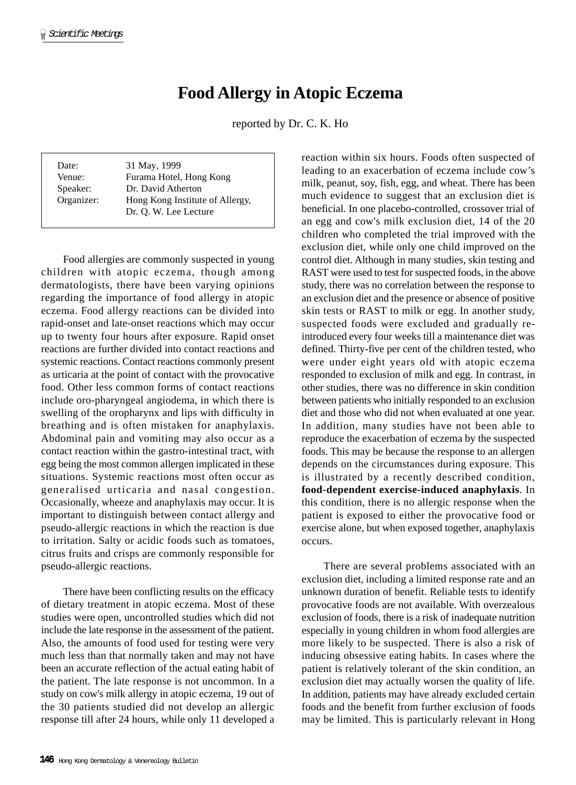## **Food Allergy in Atopic Eczema**

reported by Dr. C. K. Ho

| Date:      | 31 May, 1999                    |
|------------|---------------------------------|
| Venue:     | Furama Hotel, Hong Kong         |
| Speaker:   | Dr. David Atherton              |
| Organizer: | Hong Kong Institute of Allergy, |
|            | Dr. O. W. Lee Lecture           |

Food allergies are commonly suspected in young children with atopic eczema, though among dermatologists, there have been varying opinions regarding the importance of food allergy in atopic eczema. Food allergy reactions can be divided into rapid-onset and late-onset reactions which may occur up to twenty four hours after exposure. Rapid onset reactions are further divided into contact reactions and systemic reactions. Contact reactions commonly present as urticaria at the point of contact with the provocative food. Other less common forms of contact reactions include oro-pharyngeal angiodema, in which there is swelling of the oropharynx and lips with difficulty in breathing and is often mistaken for anaphylaxis. Abdominal pain and vomiting may also occur as a contact reaction within the gastro-intestinal tract, with egg being the most common allergen implicated in these situations. Systemic reactions most often occur as generalised urticaria and nasal congestion. Occasionally, wheeze and anaphylaxis may occur. It is important to distinguish between contact allergy and pseudo-allergic reactions in which the reaction is due to irritation. Salty or acidic foods such as tomatoes, citrus fruits and crisps are commonly responsible for pseudo-allergic reactions.

There have been conflicting results on the efficacy of dietary treatment in atopic eczema. Most of these studies were open, uncontrolled studies which did not include the late response in the assessment of the patient. Also, the amounts of food used for testing were very much less than that normally taken and may not have been an accurate reflection of the actual eating habit of the patient. The late response is not uncommon. In a study on cow's milk allergy in atopic eczema, 19 out of the 30 patients studied did not develop an allergic response till after 24 hours, while only 11 developed a reaction within six hours. Foods often suspected of leading to an exacerbation of eczema include cow's milk, peanut, soy, fish, egg, and wheat. There has been much evidence to suggest that an exclusion diet is beneficial. In one placebo-controlled, crossover trial of an egg and cow's milk exclusion diet, 14 of the 20 children who completed the trial improved with the exclusion diet, while only one child improved on the control diet. Although in many studies, skin testing and RAST were used to test for suspected foods, in the above study, there was no correlation between the response to an exclusion diet and the presence or absence of positive skin tests or RAST to milk or egg. In another study, suspected foods were excluded and gradually reintroduced every four weeks till a maintenance diet was defined. Thirty-five per cent of the children tested, who were under eight years old with atopic eczema responded to exclusion of milk and egg. In contrast, in other studies, there was no difference in skin condition between patients who initially responded to an exclusion diet and those who did not when evaluated at one year. In addition, many studies have not been able to reproduce the exacerbation of eczema by the suspected foods. This may be because the response to an allergen depends on the circumstances during exposure. This is illustrated by a recently described condition, **food-dependent exercise-induced anaphylaxis**. In this condition, there is no allergic response when the patient is exposed to either the provocative food or exercise alone, but when exposed together, anaphylaxis occurs.

There are several problems associated with an exclusion diet, including a limited response rate and an unknown duration of benefit. Reliable tests to identify provocative foods are not available. With overzealous exclusion of foods, there is a risk of inadequate nutrition especially in young children in whom food allergies are more likely to be suspected. There is also a risk of inducing obsessive eating habits. In cases where the patient is relatively tolerant of the skin condition, an exclusion diet may actually worsen the quality of life. In addition, patients may have already excluded certain foods and the benefit from further exclusion of foods may be limited. This is particularly relevant in Hong